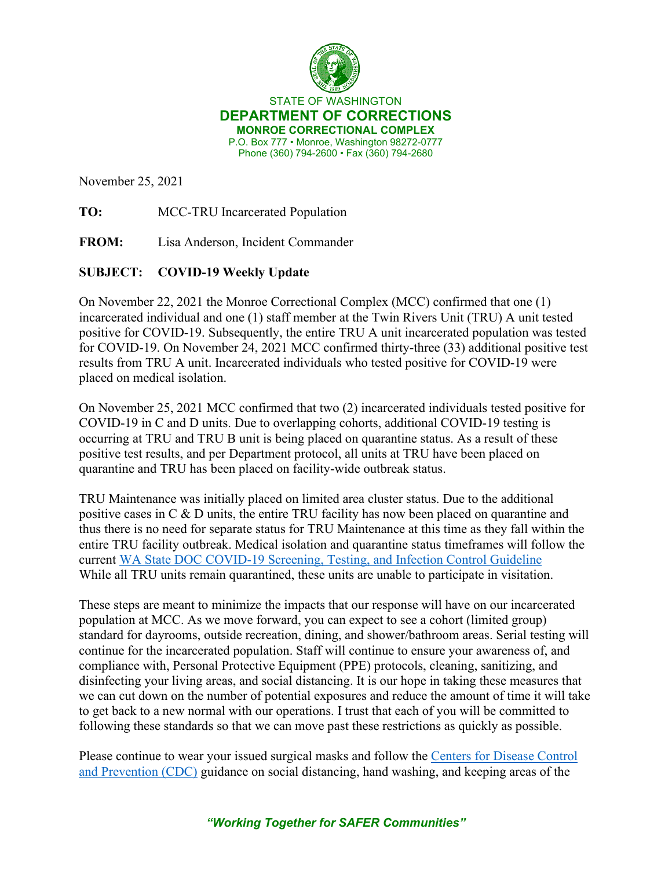

STATE OF WASHINGTON **DEPARTMENT OF CORRECTIONS MONROE CORRECTIONAL COMPLEX** P.O. Box 777 • Monroe, Washington 98272-0777 Phone (360) 794-2600 • Fax (360) 794-2680

November 25, 2021

**TO:** MCC-TRU Incarcerated Population

**FROM:** Lisa Anderson, Incident Commander

## **SUBJECT: COVID-19 Weekly Update**

On November 22, 2021 the Monroe Correctional Complex (MCC) confirmed that one (1) incarcerated individual and one (1) staff member at the Twin Rivers Unit (TRU) A unit tested positive for COVID-19. Subsequently, the entire TRU A unit incarcerated population was tested for COVID-19. On November 24, 2021 MCC confirmed thirty-three (33) additional positive test results from TRU A unit. Incarcerated individuals who tested positive for COVID-19 were placed on medical isolation.

On November 25, 2021 MCC confirmed that two (2) incarcerated individuals tested positive for COVID-19 in C and D units. Due to overlapping cohorts, additional COVID-19 testing is occurring at TRU and TRU B unit is being placed on quarantine status. As a result of these positive test results, and per Department protocol, all units at TRU have been placed on quarantine and TRU has been placed on facility-wide outbreak status.

TRU Maintenance was initially placed on limited area cluster status. Due to the additional positive cases in C & D units, the entire TRU facility has now been placed on quarantine and thus there is no need for separate status for TRU Maintenance at this time as they fall within the entire TRU facility outbreak. Medical isolation and quarantine status timeframes will follow the current [WA State DOC COVID-19 Screening, Testing, and Infection Control Guideline](https://doc.wa.gov/corrections/covid-19/docs/screening-testing-infection-control-guideline.pdf) While all TRU units remain quarantined, these units are unable to participate in visitation.

These steps are meant to minimize the impacts that our response will have on our incarcerated population at MCC. As we move forward, you can expect to see a cohort (limited group) standard for dayrooms, outside recreation, dining, and shower/bathroom areas. Serial testing will continue for the incarcerated population. Staff will continue to ensure your awareness of, and compliance with, Personal Protective Equipment (PPE) protocols, cleaning, sanitizing, and disinfecting your living areas, and social distancing. It is our hope in taking these measures that we can cut down on the number of potential exposures and reduce the amount of time it will take to get back to a new normal with our operations. I trust that each of you will be committed to following these standards so that we can move past these restrictions as quickly as possible.

Please continue to wear your issued surgical masks and follow the [Centers for Disease Control](https://www.cdc.gov/coronavirus/2019-ncov/communication/guidance.html)  [and Prevention \(CDC\)](https://www.cdc.gov/coronavirus/2019-ncov/communication/guidance.html) guidance on social distancing, hand washing, and keeping areas of the

*"Working Together for SAFER Communities"*